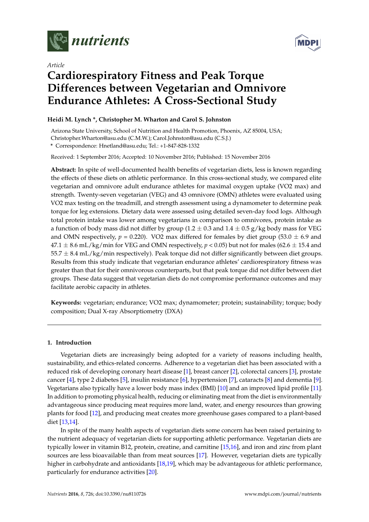



# *Article* **Cardiorespiratory Fitness and Peak Torque Differences between Vegetarian and Omnivore Endurance Athletes: A Cross-Sectional Study**

# **Heidi M. Lynch \*, Christopher M. Wharton and Carol S. Johnston**

Arizona State University, School of Nutrition and Health Promotion, Phoenix, AZ 85004, USA;

Christopher.Wharton@asu.edu (C.M.W.); Carol.Johnston@asu.edu (C.S.J.)

**\*** Correspondence: Hnetland@asu.edu; Tel.: +1-847-828-1332

Received: 1 September 2016; Accepted: 10 November 2016; Published: 15 November 2016

**Abstract:** In spite of well-documented health benefits of vegetarian diets, less is known regarding the effects of these diets on athletic performance. In this cross-sectional study, we compared elite vegetarian and omnivore adult endurance athletes for maximal oxygen uptake (VO2 max) and strength. Twenty-seven vegetarian (VEG) and 43 omnivore (OMN) athletes were evaluated using VO2 max testing on the treadmill, and strength assessment using a dynamometer to determine peak torque for leg extensions. Dietary data were assessed using detailed seven-day food logs. Although total protein intake was lower among vegetarians in comparison to omnivores, protein intake as a function of body mass did not differ by group (1.2  $\pm$  0.3 and 1.4  $\pm$  0.5 g/kg body mass for VEG and OMN respectively,  $p = 0.220$ ). VO2 max differed for females by diet group (53.0  $\pm$  6.9 and  $47.1 \pm 8.6$  mL/kg/min for VEG and OMN respectively,  $p < 0.05$ ) but not for males (62.6  $\pm$  15.4 and  $55.7 \pm 8.4$  mL/kg/min respectively). Peak torque did not differ significantly between diet groups. Results from this study indicate that vegetarian endurance athletes' cardiorespiratory fitness was greater than that for their omnivorous counterparts, but that peak torque did not differ between diet groups. These data suggest that vegetarian diets do not compromise performance outcomes and may facilitate aerobic capacity in athletes.

**Keywords:** vegetarian; endurance; VO2 max; dynamometer; protein; sustainability; torque; body composition; Dual X-ray Absorptiometry (DXA)

## **1. Introduction**

Vegetarian diets are increasingly being adopted for a variety of reasons including health, sustainability, and ethics-related concerns. Adherence to a vegetarian diet has been associated with a reduced risk of developing coronary heart disease [\[1\]](#page-7-0), breast cancer [\[2\]](#page-7-1), colorectal cancers [\[3\]](#page-7-2), prostate cancer [\[4\]](#page-7-3), type 2 diabetes [\[5\]](#page-7-4), insulin resistance [\[6\]](#page-7-5), hypertension [\[7\]](#page-7-6), cataracts [\[8\]](#page-7-7) and dementia [\[9\]](#page-7-8). Vegetarians also typically have a lower body mass index (BMI) [\[10\]](#page-8-0) and an improved lipid profile [\[11\]](#page-8-1). In addition to promoting physical health, reducing or eliminating meat from the diet is environmentally advantageous since producing meat requires more land, water, and energy resources than growing plants for food [\[12\]](#page-8-2), and producing meat creates more greenhouse gases compared to a plant-based diet [\[13](#page-8-3)[,14\]](#page-8-4).

In spite of the many health aspects of vegetarian diets some concern has been raised pertaining to the nutrient adequacy of vegetarian diets for supporting athletic performance. Vegetarian diets are typically lower in vitamin B12, protein, creatine, and carnitine [\[15](#page-8-5)[,16\]](#page-8-6), and iron and zinc from plant sources are less bioavailable than from meat sources [\[17\]](#page-8-7). However, vegetarian diets are typically higher in carbohydrate and antioxidants [\[18,](#page-8-8)[19\]](#page-8-9), which may be advantageous for athletic performance, particularly for endurance activities [\[20\]](#page-8-10).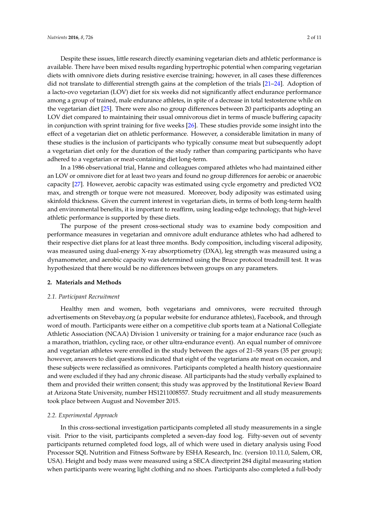Despite these issues, little research directly examining vegetarian diets and athletic performance is available. There have been mixed results regarding hypertrophic potential when comparing vegetarian diets with omnivore diets during resistive exercise training; however, in all cases these differences did not translate to differential strength gains at the completion of the trials [\[21](#page-8-11)[–24\]](#page-8-12). Adoption of a lacto-ovo vegetarian (LOV) diet for six weeks did not significantly affect endurance performance among a group of trained, male endurance athletes, in spite of a decrease in total testosterone while on the vegetarian diet [\[25\]](#page-8-13). There were also no group differences between 20 participants adopting an LOV diet compared to maintaining their usual omnivorous diet in terms of muscle buffering capacity in conjunction with sprint training for five weeks [\[26\]](#page-8-14). These studies provide some insight into the effect of a vegetarian diet on athletic performance. However, a considerable limitation in many of these studies is the inclusion of participants who typically consume meat but subsequently adopt a vegetarian diet only for the duration of the study rather than comparing participants who have adhered to a vegetarian or meat-containing diet long-term.

In a 1986 observational trial, Hanne and colleagues compared athletes who had maintained either an LOV or omnivore diet for at least two years and found no group differences for aerobic or anaerobic capacity [\[27\]](#page-8-15). However, aerobic capacity was estimated using cycle ergometry and predicted VO2 max, and strength or torque were not measured. Moreover, body adiposity was estimated using skinfold thickness. Given the current interest in vegetarian diets, in terms of both long-term health and environmental benefits, it is important to reaffirm, using leading-edge technology, that high-level athletic performance is supported by these diets.

The purpose of the present cross-sectional study was to examine body composition and performance measures in vegetarian and omnivore adult endurance athletes who had adhered to their respective diet plans for at least three months. Body composition, including visceral adiposity, was measured using dual-energy X-ray absorptiometry (DXA), leg strength was measured using a dynamometer, and aerobic capacity was determined using the Bruce protocol treadmill test. It was hypothesized that there would be no differences between groups on any parameters.

## **2. Materials and Methods**

## *2.1. Participant Recruitment*

Healthy men and women, both vegetarians and omnivores, were recruited through advertisements on Stevebay.org (a popular website for endurance athletes), Facebook, and through word of mouth. Participants were either on a competitive club sports team at a National Collegiate Athletic Association (NCAA) Division 1 university or training for a major endurance race (such as a marathon, triathlon, cycling race, or other ultra-endurance event). An equal number of omnivore and vegetarian athletes were enrolled in the study between the ages of 21–58 years (35 per group); however, answers to diet questions indicated that eight of the vegetarians ate meat on occasion, and these subjects were reclassified as omnivores. Participants completed a health history questionnaire and were excluded if they had any chronic disease. All participants had the study verbally explained to them and provided their written consent; this study was approved by the Institutional Review Board at Arizona State University, number HS1211008557. Study recruitment and all study measurements took place between August and November 2015.

#### *2.2. Experimental Approach*

In this cross-sectional investigation participants completed all study measurements in a single visit. Prior to the visit, participants completed a seven-day food log. Fifty-seven out of seventy participants returned completed food logs, all of which were used in dietary analysis using Food Processor SQL Nutrition and Fitness Software by ESHA Research, Inc. (version 10.11.0, Salem, OR, USA). Height and body mass were measured using a SECA directprint 284 digital measuring station when participants were wearing light clothing and no shoes. Participants also completed a full-body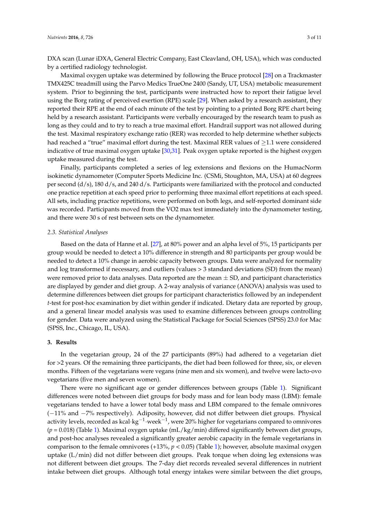DXA scan (Lunar iDXA, General Electric Company, East Cleavland, OH, USA), which was conducted by a certified radiology technologist.

Maximal oxygen uptake was determined by following the Bruce protocol [\[28\]](#page-8-16) on a Trackmaster TMX425C treadmill using the Parvo Medics TrueOne 2400 (Sandy, UT, USA) metabolic measurement system. Prior to beginning the test, participants were instructed how to report their fatigue level using the Borg rating of perceived exertion (RPE) scale [\[29\]](#page-8-17). When asked by a research assistant, they reported their RPE at the end of each minute of the test by pointing to a printed Borg RPE chart being held by a research assistant. Participants were verbally encouraged by the research team to push as long as they could and to try to reach a true maximal effort. Handrail support was not allowed during the test. Maximal respiratory exchange ratio (RER) was recorded to help determine whether subjects had reached a "true" maximal effort during the test. Maximal RER values of  $\geq$ 1.1 were considered indicative of true maximal oxygen uptake [\[30,](#page-8-18)[31\]](#page-9-0). Peak oxygen uptake reported is the highest oxygen uptake measured during the test.

Finally, participants completed a series of leg extensions and flexions on the HumacNorm isokinetic dynamometer (Computer Sports Medicine Inc. (CSMi, Stoughton, MA, USA) at 60 degrees per second (d/s), 180 d/s, and 240 d/s. Participants were familiarized with the protocol and conducted one practice repetition at each speed prior to performing three maximal effort repetitions at each speed. All sets, including practice repetitions, were performed on both legs, and self-reported dominant side was recorded. Participants moved from the VO2 max test immediately into the dynamometer testing, and there were 30 s of rest between sets on the dynamometer.

#### *2.3. Statistical Analyses*

Based on the data of Hanne et al. [\[27\]](#page-8-15), at 80% power and an alpha level of 5%, 15 participants per group would be needed to detect a 10% difference in strength and 80 participants per group would be needed to detect a 10% change in aerobic capacity between groups. Data were analyzed for normality and log transformed if necessary, and outliers (values > 3 standard deviations (SD) from the mean) were removed prior to data analyses. Data reported are the mean  $\pm$  SD, and participant characteristics are displayed by gender and diet group. A 2-way analysis of variance (ANOVA) analysis was used to determine differences between diet groups for participant characteristics followed by an independent *t*-test for post-hoc examination by diet within gender if indicated. Dietary data are reported by group, and a general linear model analysis was used to examine differences between groups controlling for gender. Data were analyzed using the Statistical Package for Social Sciences (SPSS) 23.0 for Mac (SPSS, Inc., Chicago, IL, USA).

## **3. Results**

In the vegetarian group, 24 of the 27 participants (89%) had adhered to a vegetarian diet for >2 years. Of the remaining three participants, the diet had been followed for three, six, or eleven months. Fifteen of the vegetarians were vegans (nine men and six women), and twelve were lacto-ovo vegetarians (five men and seven women).

There were no significant age or gender differences between groups (Table [1\)](#page-3-0). Significant differences were noted between diet groups for body mass and for lean body mass (LBM): female vegetarians tended to have a lower total body mass and LBM compared to the female omnivores (−11% and −7% respectively). Adiposity, however, did not differ between diet groups. Physical activity levels, recorded as kcal·kg $^{-1}$ ·week $^{-1}$ , were 20% higher for vegetarians compared to omnivores (*p* = 0.018) (Table [1\)](#page-3-0). Maximal oxygen uptake (mL/kg/min) differed significantly between diet groups, and post-hoc analyses revealed a significantly greater aerobic capacity in the female vegetarians in comparison to the female omnivores (+13%, *p* < 0.05) (Table [1\)](#page-3-0); however, absolute maximal oxygen uptake (L/min) did not differ between diet groups. Peak torque when doing leg extensions was not different between diet groups. The 7-day diet records revealed several differences in nutrient intake between diet groups. Although total energy intakes were similar between the diet groups,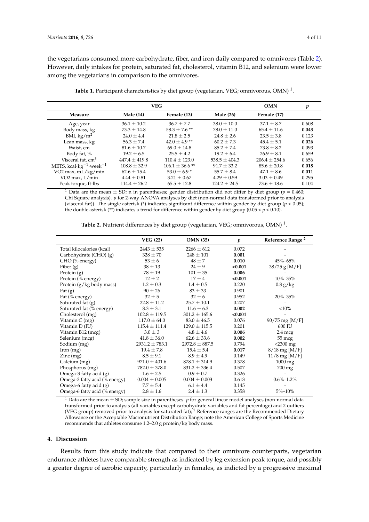the vegetarians consumed more carbohydrate, fiber, and iron daily compared to omnivores (Table [2\)](#page-3-1). However, daily intakes for protein, saturated fat, cholesterol, vitamin B12, and selenium were lower among the vegetarians in comparison to the omnivores.

<span id="page-3-0"></span>

|                                                                | <b>OMN</b>       | p                   |                   |                 |       |
|----------------------------------------------------------------|------------------|---------------------|-------------------|-----------------|-------|
| Measure                                                        | <b>Male</b> (14) | Female (13)         | <b>Male</b> (26)  | Female (17)     |       |
| Age, year                                                      | $36.1 \pm 10.2$  | $36.7 \pm 7.7$      | $38.0 \pm 10.0$   | $37.1 \pm 8.7$  | 0.608 |
| Body mass, kg                                                  | $73.3 \pm 14.8$  | $58.3 \pm 7.6$ **   | $78.0 \pm 11.0$   | $65.4 \pm 11.6$ | 0.043 |
| BMI, $\text{kg}/\text{m}^2$                                    | $24.0 \pm 4.4$   | $21.8 \pm 2.5$      | $24.8 \pm 2.6$    | $23.5 \pm 3.8$  | 0.123 |
| Lean mass, kg                                                  | $56.3 \pm 7.4$   | $42.0 \pm 4.9$ **   | $60.2 + 7.3$      | $45.4 + 5.1$    | 0.026 |
| Waist, cm                                                      | $81.6 \pm 10.7$  | $69.0 \pm 14.8$     | $85.2 + 7.4$      | $73.8 \pm 8.2$  | 0.093 |
| Body fat, %                                                    | $19.2 + 6.5$     | $25.5 \pm 4.2$      | $19.2 + 6.4$      | $26.9 + 8.1$    | 0.659 |
| Visceral fat, cm <sup>3</sup>                                  | $447.4 + 419.8$  | $110.4 \pm 123.0$   | $538.5 \pm 404.3$ | $206.4 + 254.6$ | 0.656 |
| METS, kcal $\cdot$ kg <sup>-1</sup> $\cdot$ week <sup>-1</sup> | $108.8 \pm 32.9$ | $106.1 \pm 36.6$ ** | $91.7 + 33.2$     | $85.6 \pm 20.8$ | 0.018 |
| VO <sub>2</sub> max, mL/kg/min                                 | $62.6 \pm 15.4$  | $53.0 \pm 6.9$ *    | $55.7 \pm 8.4$    | $47.1 \pm 8.6$  | 0.011 |
| VO <sub>2</sub> max, L/min                                     | $4.44 \pm 0.81$  | $3.21 \pm 0.67$     | $4.29 + 0.59$     | $3.03 \pm 0.49$ | 0.295 |
| Peak torque, ft-lbs                                            | $114.4 \pm 26.2$ | $65.5 \pm 12.8$     | $124.2 \pm 24.5$  | $73.6 \pm 18.6$ | 0.104 |

**Table 1.** Participant characteristics by diet group (vegetarian, VEG; omnivorous, OMN) <sup>1</sup>.

<sup>1</sup> Data are the mean  $\pm$  SD; n in parentheses; gender distribution did not differ by diet group ( $p = 0.460$ ; Chi Square analysis). *p* for 2-way ANOVA analyses by diet (non-normal data transformed prior to analysis (visceral fat)). The single asterisk (\*) indicates significant difference within gender by diet group ( $p < 0.05$ ); the double asterisk (\*\*) indicates a trend for difference within gender by diet group (0.05  $< p < 0.10$ ).

<span id="page-3-1"></span>

|                                        | <b>VEG (22)</b>    | <b>OMN</b> (35)    | $\boldsymbol{p}$ | Reference Range <sup>2</sup> |
|----------------------------------------|--------------------|--------------------|------------------|------------------------------|
| Total kilocalories (kcal)              | $2443 \pm 535$     | $2266 \pm 612$     | 0.072            |                              |
| Carbohydrate (CHO) (g)                 | $328 \pm 70$       | $248 \pm 101$      | 0.001            |                              |
| CHO (% energy)                         | $53 \pm 6$         | $48 \pm 7$         | 0.010            | 45%-65%                      |
| Fiber $(g)$                            | $38 \pm 13$        | $24 \pm 9$         | < 0.001          | $38/25$ g [M/F]              |
| Protein (g)                            | $78 \pm 19$        | $101 \pm 35$       | 0.006            |                              |
| Protein (% energy)                     | $12 \pm 2$         | $17 \pm 4$         | < 0.001          | 10%-35%                      |
| Protein (g/kg body mass)               | $1.2 \pm 0.3$      | $1.4 \pm 0.5$      | 0.220            | $0.8$ g/kg                   |
| Fat $(g)$                              | $90 \pm 26$        | $83 \pm 33$        | 0.901            |                              |
| Fat (% energy)                         | $32 \pm 5$         | $32 \pm 6$         | 0.952            | 20%-35%                      |
| Saturated fat $(g)$                    | $22.8 \pm 11.2$    | $25.7 \pm 10.1$    | 0.207            |                              |
| Saturated fat (% energy)               | $8.3 \pm 3.1$      | $11.6 \pm 6.3$     | 0.002            | ${<}10\%$                    |
| Cholesterol (mg)                       | $102.8 \pm 119.5$  | $301.2 \pm 165.6$  | < 0.001          |                              |
| Vitamin C (mg)                         | $117.0 \pm 64.0$   | $83.0 \pm 46.5$    | 0.076            | $90/75$ mg [M/F]             |
| Vitamin D (IU)                         | $115.4 \pm 111.4$  | $129.0 \pm 115.5$  | 0.201            | 600 IU                       |
| Vitamin B12 (mcg)                      | $3.0 \pm 3$        | $4.8 \pm 4.6$      | 0.006            | $2.4 \text{~mag}$            |
| Selenium (mcg)                         | $41.8 \pm 36.0$    | $62.6 \pm 33.6$    | 0.002            | 55 mcg                       |
| Sodium (mg)                            | $2931.2 \pm 783.1$ | $2972.8 \pm 887.5$ | 0.794            | $<$ 2300 mg                  |
| [from (mg)]                            | $19.4 \pm 7.8$     | $15.4 \pm 5.4$     | 0.017            | $8/18$ mg [M/F]              |
| $\text{Zinc} \left( \text{mg} \right)$ | $8.5 \pm 9.1$      | $8.9 \pm 4.9$      | 0.149            | $11/8$ mg [M/F]              |
| Calcium (mg)                           | $971.0 \pm 401.6$  | $878.1 \pm 314.9$  | 0.378            | $1000 \text{ mg}$            |
| Phosphorus (mg)                        | $782.0 \pm 378.0$  | $831.2 \pm 336.4$  | 0.507            | 700 mg                       |
| Omega-3 fatty acid $(g)$               | $1.6 \pm 2.5$      | $0.9 \pm 0.7$      | 0.326            |                              |
| Omega-3 fatty acid (% energy)          | $0.004 \pm 0.005$  | $0.004 \pm 0.003$  | 0.613            | $0.6\% - 1.2\%$              |
| Omega-6 fatty acid $(g)$               | $7.7 \pm 5.4$      | $6.1 \pm 4.4$      | 0.145            |                              |
| Omega-6 fatty acid (% energy)          | $2.8 \pm 1.6$      | $2.4 \pm 1.3$      | 0.358            | $5\% - 10\%$                 |

**Table 2.** Nutrient differences by diet group (vegetarian, VEG; omnivorous, OMN) <sup>1</sup>.

<sup>1</sup> Data are the mean  $\pm$  SD; sample size in parentheses. *p* for general linear model analyses (non-normal data transformed prior to analysis (all variables except carbohydrate variables and fat percentage) and 2 outliers (VEG group) removed prior to analysis for saturated fat); <sup>2</sup> Reference ranges are the Recommended Dietary Allowance or the Acceptable Macronutrient Distribution Range; note the American College of Sports Medicine recommends that athletes consume 1.2–2.0 g protein/kg body mass.

## **4. Discussion**

Results from this study indicate that compared to their omnivore counterparts, vegetarian endurance athletes have comparable strength as indicated by leg extension peak torque, and possibly a greater degree of aerobic capacity, particularly in females, as indicted by a progressive maximal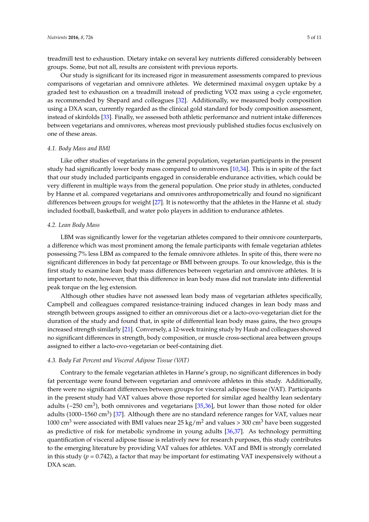treadmill test to exhaustion. Dietary intake on several key nutrients differed considerably between groups. Some, but not all, results are consistent with previous reports.

Our study is significant for its increased rigor in measurement assessments compared to previous comparisons of vegetarian and omnivore athletes. We determined maximal oxygen uptake by a graded test to exhaustion on a treadmill instead of predicting VO2 max using a cycle ergometer, as recommended by Shepard and colleagues [\[32\]](#page-9-1). Additionally, we measured body composition using a DXA scan, currently regarded as the clinical gold standard for body composition assessment, instead of skinfolds [\[33\]](#page-9-2). Finally, we assessed both athletic performance and nutrient intake differences between vegetarians and omnivores, whereas most previously published studies focus exclusively on one of these areas.

#### *4.1. Body Mass and BMI*

Like other studies of vegetarians in the general population, vegetarian participants in the present study had significantly lower body mass compared to omnivores [\[10](#page-8-0)[,34\]](#page-9-3). This is in spite of the fact that our study included participants engaged in considerable endurance activities, which could be very different in multiple ways from the general population. One prior study in athletes, conducted by Hanne et al. compared vegetarians and omnivores anthropometrically and found no significant differences between groups for weight [\[27\]](#page-8-15). It is noteworthy that the athletes in the Hanne et al. study included football, basketball, and water polo players in addition to endurance athletes.

#### *4.2. Lean Body Mass*

LBM was significantly lower for the vegetarian athletes compared to their omnivore counterparts, a difference which was most prominent among the female participants with female vegetarian athletes possessing 7% less LBM as compared to the female omnivore athletes. In spite of this, there were no significant differences in body fat percentage or BMI between groups. To our knowledge, this is the first study to examine lean body mass differences between vegetarian and omnivore athletes. It is important to note, however, that this difference in lean body mass did not translate into differential peak torque on the leg extension.

Although other studies have not assessed lean body mass of vegetarian athletes specifically, Campbell and colleagues compared resistance-training induced changes in lean body mass and strength between groups assigned to either an omnivorous diet or a lacto-ovo-vegetarian diet for the duration of the study and found that, in spite of differential lean body mass gains, the two groups increased strength similarly [\[21\]](#page-8-11). Conversely, a 12-week training study by Haub and colleagues showed no significant differences in strength, body composition, or muscle cross-sectional area between groups assigned to either a lacto-ovo-vegetarian or beef-containing diet.

#### *4.3. Body Fat Percent and Visceral Adipose Tissue (VAT)*

Contrary to the female vegetarian athletes in Hanne's group, no significant differences in body fat percentage were found between vegetarian and omnivore athletes in this study. Additionally, there were no significant differences between groups for visceral adipose tissue (VAT). Participants in the present study had VAT values above those reported for similar aged healthy lean sedentary adults ( $\sim$ 250 cm<sup>3</sup>), both omnivores and vegetarians [\[35](#page-9-4)[,36\]](#page-9-5), but lower than those noted for older adults (1000–1560 cm<sup>3</sup>) [\[37\]](#page-9-6). Although there are no standard reference ranges for VAT, values near 1000 cm<sup>3</sup> were associated with BMI values near 25 kg/m<sup>2</sup> and values > 300 cm<sup>3</sup> have been suggested as predictive of risk for metabolic syndrome in young adults [\[36](#page-9-5)[,37\]](#page-9-6). As technology permitting quantification of visceral adipose tissue is relatively new for research purposes, this study contributes to the emerging literature by providing VAT values for athletes. VAT and BMI is strongly correlated in this study  $(p = 0.742)$ , a factor that may be important for estimating VAT inexpensively without a DXA scan.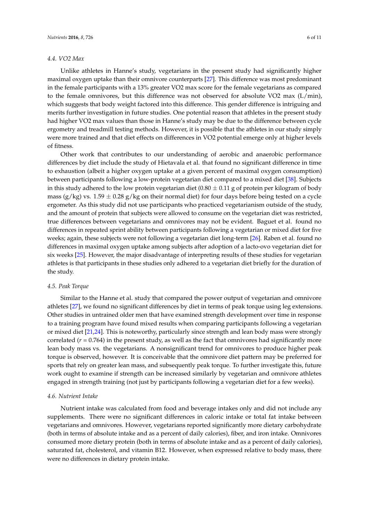#### *4.4. VO2 Max*

Unlike athletes in Hanne's study, vegetarians in the present study had significantly higher maximal oxygen uptake than their omnivore counterparts [\[27\]](#page-8-15). This difference was most predominant in the female participants with a 13% greater VO2 max score for the female vegetarians as compared to the female omnivores, but this difference was not observed for absolute VO2 max (L/min), which suggests that body weight factored into this difference. This gender difference is intriguing and merits further investigation in future studies. One potential reason that athletes in the present study had higher VO2 max values than those in Hanne's study may be due to the difference between cycle ergometry and treadmill testing methods. However, it is possible that the athletes in our study simply were more trained and that diet effects on differences in VO2 potential emerge only at higher levels of fitness.

Other work that contributes to our understanding of aerobic and anaerobic performance differences by diet include the study of Hietavala et al. that found no significant difference in time to exhaustion (albeit a higher oxygen uptake at a given percent of maximal oxygen consumption) between participants following a low-protein vegetarian diet compared to a mixed diet [\[38\]](#page-9-7). Subjects in this study adhered to the low protein vegetarian diet  $(0.80 \pm 0.11 \text{ g})$  of protein per kilogram of body mass (g/kg) vs.  $1.59 \pm 0.28$  g/kg on their normal diet) for four days before being tested on a cycle ergometer. As this study did not use participants who practiced vegetarianism outside of the study, and the amount of protein that subjects were allowed to consume on the vegetarian diet was restricted, true differences between vegetarians and omnivores may not be evident. Baguet et al. found no differences in repeated sprint ability between participants following a vegetarian or mixed diet for five weeks; again, these subjects were not following a vegetarian diet long-term [\[26\]](#page-8-14). Raben et al. found no differences in maximal oxygen uptake among subjects after adoption of a lacto-ovo vegetarian diet for six weeks [\[25\]](#page-8-13). However, the major disadvantage of interpreting results of these studies for vegetarian athletes is that participants in these studies only adhered to a vegetarian diet briefly for the duration of the study.

#### *4.5. Peak Torque*

Similar to the Hanne et al. study that compared the power output of vegetarian and omnivore athletes [\[27\]](#page-8-15), we found no significant differences by diet in terms of peak torque using leg extensions. Other studies in untrained older men that have examined strength development over time in response to a training program have found mixed results when comparing participants following a vegetarian or mixed diet [\[21,](#page-8-11)[24\]](#page-8-12). This is noteworthy, particularly since strength and lean body mass were strongly correlated  $(r = 0.764)$  in the present study, as well as the fact that omnivores had significantly more lean body mass vs. the vegetarians. A nonsignificant trend for omnivores to produce higher peak torque is observed, however. It is conceivable that the omnivore diet pattern may be preferred for sports that rely on greater lean mass, and subsequently peak torque. To further investigate this, future work ought to examine if strength can be increased similarly by vegetarian and omnivore athletes engaged in strength training (not just by participants following a vegetarian diet for a few weeks).

#### *4.6. Nutrient Intake*

Nutrient intake was calculated from food and beverage intakes only and did not include any supplements. There were no significant differences in caloric intake or total fat intake between vegetarians and omnivores. However, vegetarians reported significantly more dietary carbohydrate (both in terms of absolute intake and as a percent of daily calories), fiber, and iron intake. Omnivores consumed more dietary protein (both in terms of absolute intake and as a percent of daily calories), saturated fat, cholesterol, and vitamin B12. However, when expressed relative to body mass, there were no differences in dietary protein intake.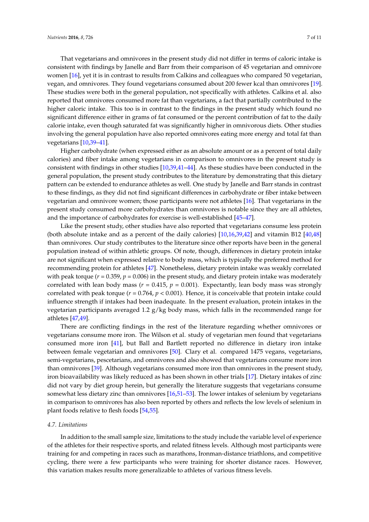That vegetarians and omnivores in the present study did not differ in terms of caloric intake is consistent with findings by Janelle and Barr from their comparison of 45 vegetarian and omnivore women [\[16\]](#page-8-6), yet it is in contrast to results from Calkins and colleagues who compared 50 vegetarian, vegan, and omnivores. They found vegetarians consumed about 200 fewer kcal than omnivores [\[19\]](#page-8-9). These studies were both in the general population, not specifically with athletes. Calkins et al. also reported that omnivores consumed more fat than vegetarians, a fact that partially contributed to the higher caloric intake. This too is in contrast to the findings in the present study which found no significant difference either in grams of fat consumed or the percent contribution of fat to the daily calorie intake, even though saturated fat was significantly higher in omnivorous diets. Other studies involving the general population have also reported omnivores eating more energy and total fat than vegetarians [\[10](#page-8-0)[,39](#page-9-8)[–41\]](#page-9-9).

Higher carbohydrate (when expressed either as an absolute amount or as a percent of total daily calories) and fiber intake among vegetarians in comparison to omnivores in the present study is consistent with findings in other studies [\[10](#page-8-0)[,39](#page-9-8)[,41–](#page-9-9)[44\]](#page-9-10). As these studies have been conducted in the general population, the present study contributes to the literature by demonstrating that this dietary pattern can be extended to endurance athletes as well. One study by Janelle and Barr stands in contrast to these findings, as they did not find significant differences in carbohydrate or fiber intake between vegetarian and omnivore women; those participants were not athletes [\[16\]](#page-8-6). That vegetarians in the present study consumed more carbohydrates than omnivores is notable since they are all athletes, and the importance of carbohydrates for exercise is well-established [\[45](#page-9-11)[–47\]](#page-9-12).

Like the present study, other studies have also reported that vegetarians consume less protein (both absolute intake and as a percent of the daily calories) [\[10,](#page-8-0)[16,](#page-8-6)[39,](#page-9-8)[42\]](#page-9-13) and vitamin B12 [\[40](#page-9-14)[,48\]](#page-9-15) than omnivores. Our study contributes to the literature since other reports have been in the general population instead of within athletic groups. Of note, though, differences in dietary protein intake are not significant when expressed relative to body mass, which is typically the preferred method for recommending protein for athletes [\[47\]](#page-9-12). Nonetheless, dietary protein intake was weakly correlated with peak torque ( $r = 0.359$ ,  $p = 0.006$ ) in the present study, and dietary protein intake was moderately correlated with lean body mass  $(r = 0.415, p = 0.001)$ . Expectantly, lean body mass was strongly correlated with peak torque (*r* = 0.764, *p* < 0.001). Hence, it is conceivable that protein intake could influence strength if intakes had been inadequate. In the present evaluation, protein intakes in the vegetarian participants averaged 1.2 g/kg body mass, which falls in the recommended range for athletes [\[47,](#page-9-12)[49\]](#page-9-16).

There are conflicting findings in the rest of the literature regarding whether omnivores or vegetarians consume more iron. The Wilson et al. study of vegetarian men found that vegetarians consumed more iron [\[41\]](#page-9-9), but Ball and Bartlett reported no difference in dietary iron intake between female vegetarian and omnivores [\[50\]](#page-9-17). Clary et al. compared 1475 vegans, vegetarians, semi-vegetarians, pescetarians, and omnivores and also showed that vegetarians consume more iron than omnivores [\[39\]](#page-9-8). Although vegetarians consumed more iron than omnivores in the present study, iron bioavailability was likely reduced as has been shown in other trials [\[17\]](#page-8-7). Dietary intakes of zinc did not vary by diet group herein, but generally the literature suggests that vegetarians consume somewhat less dietary zinc than omnivores [\[16](#page-8-6)[,51](#page-9-18)[–53\]](#page-10-0). The lower intakes of selenium by vegetarians in comparison to omnivores has also been reported by others and reflects the low levels of selenium in plant foods relative to flesh foods [\[54](#page-10-1)[,55\]](#page-10-2).

## *4.7. Limitations*

In addition to the small sample size, limitations to the study include the variable level of experience of the athletes for their respective sports, and related fitness levels. Although most participants were training for and competing in races such as marathons, Ironman-distance triathlons, and competitive cycling, there were a few participants who were training for shorter distance races. However, this variation makes results more generalizable to athletes of various fitness levels.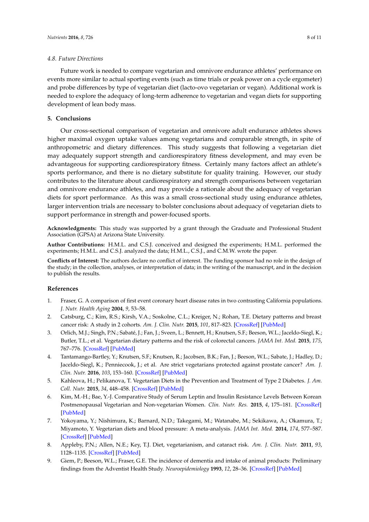#### *4.8. Future Directions*

Future work is needed to compare vegetarian and omnivore endurance athletes' performance on events more similar to actual sporting events (such as time trials or peak power on a cycle ergometer) and probe differences by type of vegetarian diet (lacto-ovo vegetarian or vegan). Additional work is needed to explore the adequacy of long-term adherence to vegetarian and vegan diets for supporting development of lean body mass.

# **5. Conclusions**

Our cross-sectional comparison of vegetarian and omnivore adult endurance athletes shows higher maximal oxygen uptake values among vegetarians and comparable strength, in spite of anthropometric and dietary differences. This study suggests that following a vegetarian diet may adequately support strength and cardiorespiratory fitness development, and may even be advantageous for supporting cardiorespiratory fitness. Certainly many factors affect an athlete's sports performance, and there is no dietary substitute for quality training. However, our study contributes to the literature about cardiorespiratory and strength comparisons between vegetarian and omnivore endurance athletes, and may provide a rationale about the adequacy of vegetarian diets for sport performance. As this was a small cross-sectional study using endurance athletes, larger intervention trials are necessary to bolster conclusions about adequacy of vegetarian diets to support performance in strength and power-focused sports.

**Acknowledgments:** This study was supported by a grant through the Graduate and Professional Student Association (GPSA) at Arizona State University.

**Author Contributions:** H.M.L. and C.S.J. conceived and designed the experiments; H.M.L. performed the experiments; H.M.L. and C.S.J. analyzed the data; H.M.L., C.S.J., and C.M.W. wrote the paper.

**Conflicts of Interest:** The authors declare no conflict of interest. The funding sponsor had no role in the design of the study; in the collection, analyses, or interpretation of data; in the writing of the manuscript, and in the decision to publish the results.

## **References**

- <span id="page-7-0"></span>1. Fraser, G. A comparison of first event coronary heart disease rates in two contrasting California populations. *J. Nutr. Health Aging* **2004**, *9*, 53–58.
- <span id="page-7-1"></span>2. Catsburg, C.; Kim, R.S.; Kirsh, V.A.; Soskolne, C.L.; Kreiger, N.; Rohan, T.E. Dietary patterns and breast cancer risk: A study in 2 cohorts. *Am. J. Clin. Nutr.* **2015**, *101*, 817–823. [\[CrossRef\]](http://dx.doi.org/10.3945/ajcn.114.097659) [\[PubMed\]](http://www.ncbi.nlm.nih.gov/pubmed/25833979)
- <span id="page-7-2"></span>3. Orlich, M.J.; Singh, P.N.; Sabaté, J.; Fan, J.; Sveen, L.; Bennett, H.; Knutsen, S.F.; Beeson, W.L.; Jaceldo-Siegl, K.; Butler, T.L.; et al. Vegetarian dietary patterns and the risk of colorectal cancers. *JAMA Int. Med.* **2015**, *175*, 767–776. [\[CrossRef\]](http://dx.doi.org/10.1001/jamainternmed.2015.59) [\[PubMed\]](http://www.ncbi.nlm.nih.gov/pubmed/25751512)
- <span id="page-7-3"></span>4. Tantamango-Bartley, Y.; Knutsen, S.F.; Knutsen, R.; Jacobsen, B.K.; Fan, J.; Beeson, W.L.; Sabate, J.; Hadley, D.; Jaceldo-Siegl, K.; Penniecook, J.; et al. Are strict vegetarians protected against prostate cancer? *Am. J. Clin. Nutr.* **2016**, *103*, 153–160. [\[CrossRef\]](http://dx.doi.org/10.3945/ajcn.114.106450) [\[PubMed\]](http://www.ncbi.nlm.nih.gov/pubmed/26561618)
- <span id="page-7-4"></span>5. Kahleova, H.; Pelikanova, T. Vegetarian Diets in the Prevention and Treatment of Type 2 Diabetes. *J. Am. Coll. Nutr.* **2015**, *34*, 448–458. [\[CrossRef\]](http://dx.doi.org/10.1080/07315724.2014.976890) [\[PubMed\]](http://www.ncbi.nlm.nih.gov/pubmed/25915002)
- <span id="page-7-5"></span>6. Kim, M.-H.; Bae, Y.-J. Comparative Study of Serum Leptin and Insulin Resistance Levels Between Korean Postmenopausal Vegetarian and Non-vegetarian Women. *Clin. Nutr. Res.* **2015**, *4*, 175–181. [\[CrossRef\]](http://dx.doi.org/10.7762/cnr.2015.4.3.175) [\[PubMed\]](http://www.ncbi.nlm.nih.gov/pubmed/26251836)
- <span id="page-7-6"></span>7. Yokoyama, Y.; Nishimura, K.; Barnard, N.D.; Takegami, M.; Watanabe, M.; Sekikawa, A.; Okamura, T.; Miyamoto, Y. Vegetarian diets and blood pressure: A meta-analysis. *JAMA Int. Med.* **2014**, *174*, 577–587. [\[CrossRef\]](http://dx.doi.org/10.1001/jamainternmed.2013.14547) [\[PubMed\]](http://www.ncbi.nlm.nih.gov/pubmed/24566947)
- <span id="page-7-7"></span>8. Appleby, P.N.; Allen, N.E.; Key, T.J. Diet, vegetarianism, and cataract risk. *Am. J. Clin. Nutr.* **2011**, *93*, 1128–1135. [\[CrossRef\]](http://dx.doi.org/10.3945/ajcn.110.004028) [\[PubMed\]](http://www.ncbi.nlm.nih.gov/pubmed/21430115)
- <span id="page-7-8"></span>9. Giem, P.; Beeson, W.L.; Fraser, G.E. The incidence of dementia and intake of animal products: Preliminary findings from the Adventist Health Study. *Neuroepidemiology* **1993**, *12*, 28–36. [\[CrossRef\]](http://dx.doi.org/10.1159/000110296) [\[PubMed\]](http://www.ncbi.nlm.nih.gov/pubmed/8327020)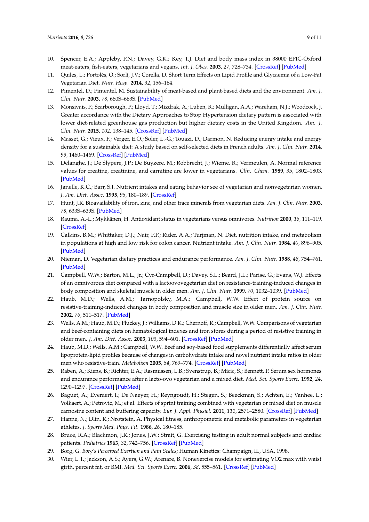- <span id="page-8-0"></span>10. Spencer, E.A.; Appleby, P.N.; Davey, G.K.; Key, T.J. Diet and body mass index in 38000 EPIC-Oxford meat-eaters, fish-eaters, vegetarians and vegans. *Int. J. Obes.* **2003**, *27*, 728–734. [\[CrossRef\]](http://dx.doi.org/10.1038/sj.ijo.0802300) [\[PubMed\]](http://www.ncbi.nlm.nih.gov/pubmed/12833118)
- <span id="page-8-1"></span>11. Quiles, L.; Portolés, O.; Sorlí, J.V.; Corella, D. Short Term Effects on Lipid Profile and Glycaemia of a Low-Fat Vegetarian Diet. *Nutr. Hosp.* **2014**, *32*, 156–164.
- <span id="page-8-2"></span>12. Pimentel, D.; Pimentel, M. Sustainability of meat-based and plant-based diets and the environment. *Am. J. Clin. Nutr.* **2003**, *78*, 660S–663S. [\[PubMed\]](http://www.ncbi.nlm.nih.gov/pubmed/12936963)
- <span id="page-8-3"></span>13. Monsivais, P.; Scarborough, P.; Lloyd, T.; Mizdrak, A.; Luben, R.; Mulligan, A.A.; Wareham, N.J.; Woodcock, J. Greater accordance with the Dietary Approaches to Stop Hypertension dietary pattern is associated with lower diet-related greenhouse gas production but higher dietary costs in the United Kingdom. *Am. J. Clin. Nutr.* **2015**, *102*, 138–145. [\[CrossRef\]](http://dx.doi.org/10.3945/ajcn.114.090639) [\[PubMed\]](http://www.ncbi.nlm.nih.gov/pubmed/25926505)
- <span id="page-8-4"></span>14. Masset, G.; Vieux, F.; Verger, E.O.; Soler, L.-G.; Touazi, D.; Darmon, N. Reducing energy intake and energy density for a sustainable diet: A study based on self-selected diets in French adults. *Am. J. Clin. Nutr.* **2014**, *99*, 1460–1469. [\[CrossRef\]](http://dx.doi.org/10.3945/ajcn.113.077958) [\[PubMed\]](http://www.ncbi.nlm.nih.gov/pubmed/24695893)
- <span id="page-8-5"></span>15. Delanghe, J.; De Slypere, J.P.; De Buyzere, M.; Robbrecht, J.; Wieme, R.; Vermeulen, A. Normal reference values for creatine, creatinine, and carnitine are lower in vegetarians. *Clin. Chem.* **1989**, *35*, 1802–1803. [\[PubMed\]](http://www.ncbi.nlm.nih.gov/pubmed/2758659)
- <span id="page-8-6"></span>16. Janelle, K.C.; Barr, S.I. Nutrient intakes and eating behavior see of vegetarian and nonvegetarian women. *J. Am. Diet. Assoc.* **1995**, *95*, 180–189. [\[CrossRef\]](http://dx.doi.org/10.1016/S0002-8223(95)00045-3)
- <span id="page-8-7"></span>17. Hunt, J.R. Bioavailability of iron, zinc, and other trace minerals from vegetarian diets. *Am. J. Clin. Nutr.* **2003**, *78*, 633S–639S. [\[PubMed\]](http://www.ncbi.nlm.nih.gov/pubmed/12936958)
- <span id="page-8-8"></span>18. Rauma, A.-L.; Mykkänen, H. Antioxidant status in vegetarians versus omnivores. *Nutrition* **2000**, *16*, 111–119. [\[CrossRef\]](http://dx.doi.org/10.1016/S0899-9007(99)00267-1)
- <span id="page-8-9"></span>19. Calkins, B.M.; Whittaker, D.J.; Nair, P.P.; Rider, A.A.; Turjman, N. Diet, nutrition intake, and metabolism in populations at high and low risk for colon cancer. Nutrient intake. *Am. J. Clin. Nutr.* **1984**, *40*, 896–905. [\[PubMed\]](http://www.ncbi.nlm.nih.gov/pubmed/6486098)
- <span id="page-8-10"></span>20. Nieman, D. Vegetarian dietary practices and endurance performance. *Am. J. Clin. Nutr.* **1988**, *48*, 754–761. [\[PubMed\]](http://www.ncbi.nlm.nih.gov/pubmed/3046304)
- <span id="page-8-11"></span>21. Campbell, W.W.; Barton, M.L., Jr.; Cyr-Campbell, D.; Davey, S.L.; Beard, J.L.; Parise, G.; Evans, W.J. Effects of an omnivorous diet compared with a lactoovovegetarian diet on resistance-training-induced changes in body composition and skeletal muscle in older men. *Am. J. Clin. Nutr.* **1999**, *70*, 1032–1039. [\[PubMed\]](http://www.ncbi.nlm.nih.gov/pubmed/10584048)
- 22. Haub, M.D.; Wells, A.M.; Tarnopolsky, M.A.; Campbell, W.W. Effect of protein source on resistive-training-induced changes in body composition and muscle size in older men. *Am. J. Clin. Nutr.* **2002**, *76*, 511–517. [\[PubMed\]](http://www.ncbi.nlm.nih.gov/pubmed/12197993)
- 23. Wells, A.M.; Haub, M.D.; Fluckey, J.; Williams, D.K.; Chernoff, R.; Campbell, W.W. Comparisons of vegetarian and beef-containing diets on hematological indexes and iron stores during a period of resistive training in older men. *J. Am. Diet. Assoc.* **2003**, *103*, 594–601. [\[CrossRef\]](http://dx.doi.org/10.1053/jada.2003.50112) [\[PubMed\]](http://www.ncbi.nlm.nih.gov/pubmed/12728219)
- <span id="page-8-12"></span>24. Haub, M.D.; Wells, A.M.; Campbell, W.W. Beef and soy-based food supplements differentially affect serum lipoprotein-lipid profiles because of changes in carbohydrate intake and novel nutrient intake ratios in older men who resistive-train. *Metabolism* **2005**, *54*, 769–774. [\[CrossRef\]](http://dx.doi.org/10.1016/j.metabol.2005.01.019) [\[PubMed\]](http://www.ncbi.nlm.nih.gov/pubmed/15931612)
- <span id="page-8-13"></span>25. Raben, A.; Kiens, B.; Richter, E.A.; Rasmussen, L.B.; Svenstrup, B.; Micic, S.; Bennett, P. Serum sex hormones and endurance performance after a lacto-ovo vegetarian and a mixed diet. *Med. Sci. Sports Exerc.* **1992**, *24*, 1290–1297. [\[CrossRef\]](http://dx.doi.org/10.1249/00005768-199211000-00015) [\[PubMed\]](http://www.ncbi.nlm.nih.gov/pubmed/1435181)
- <span id="page-8-14"></span>26. Baguet, A.; Everaert, I.; De Naeyer, H.; Reyngoudt, H.; Stegen, S.; Beeckman, S.; Achten, E.; Vanhee, L.; Volkaert, A.; Petrovic, M.; et al. Effects of sprint training combined with vegetarian or mixed diet on muscle carnosine content and buffering capacity. *Eur. J. Appl. Physiol.* **2011**, *111*, 2571–2580. [\[CrossRef\]](http://dx.doi.org/10.1007/s00421-011-1877-4) [\[PubMed\]](http://www.ncbi.nlm.nih.gov/pubmed/21373871)
- <span id="page-8-15"></span>27. Hanne, N.; Dlin, R.; Nrotstein, A. Physical fitness, anthropometric and metabolic parameters in vegetarian athletes. *J. Sports Med. Phys. Fit.* **1986**, *26*, 180–185.
- <span id="page-8-16"></span>28. Bruce, R.A.; Blackmon, J.R.; Jones, J.W.; Strait, G. Exercising testing in adult normal subjects and cardiac patients. *Pediatrics* **1963**, *32*, 742–756. [\[CrossRef\]](http://dx.doi.org/10.1111/j.1542-474X.2004.93003.x) [\[PubMed\]](http://www.ncbi.nlm.nih.gov/pubmed/15245347)
- <span id="page-8-17"></span>29. Borg, G. *Borg's Perceived Exertion and Pain Scales*; Human Kinetics: Champaign, IL, USA, 1998.
- <span id="page-8-18"></span>30. Wier, L.T.; Jackson, A.S.; Ayers, G.W.; Arenare, B. Nonexercise models for estimating VO2 max with waist girth, percent fat, or BMI. *Med. Sci. Sports Exerc.* **2006**, *38*, 555–561. [\[CrossRef\]](http://dx.doi.org/10.1249/01.mss.0000193561.64152) [\[PubMed\]](http://www.ncbi.nlm.nih.gov/pubmed/16540845)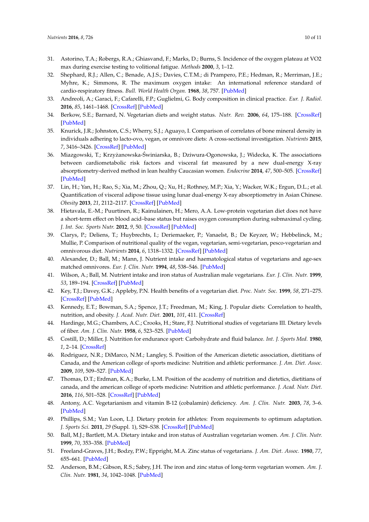- <span id="page-9-0"></span>31. Astorino, T.A.; Robergs, R.A.; Ghiasvand, F.; Marks, D.; Burns, S. Incidence of the oxygen plateau at VO2 max during exercise testing to volitional fatigue. *Methods* **2000**, *3*, 1–12.
- <span id="page-9-1"></span>32. Shephard, R.J.; Allen, C.; Benade, A.J.S.; Davies, C.T.M.; di Prampero, P.E.; Hedman, R.; Merriman, J.E.; Myhre, K.; Simmons, R. The maximum oxygen intake: An international reference standard of cardio-respiratory fitness. *Bull. World Health Organ.* **1968**, *38*, 757. [\[PubMed\]](http://www.ncbi.nlm.nih.gov/pubmed/5303329)
- <span id="page-9-2"></span>33. Andreoli, A.; Garaci, F.; Cafarelli, F.P.; Guglielmi, G. Body composition in clinical practice. *Eur. J. Radiol.* **2016**, *85*, 1461–1468. [\[CrossRef\]](http://dx.doi.org/10.1016/j.ejrad.2016.02.005) [\[PubMed\]](http://www.ncbi.nlm.nih.gov/pubmed/26971404)
- <span id="page-9-3"></span>34. Berkow, S.E.; Barnard, N. Vegetarian diets and weight status. *Nutr. Rev.* **2006**, *64*, 175–188. [\[CrossRef\]](http://dx.doi.org/10.1111/j.1753-4887.2006.tb00200.x) [\[PubMed\]](http://www.ncbi.nlm.nih.gov/pubmed/16673753)
- <span id="page-9-4"></span>35. Knurick, J.R.; Johnston, C.S.; Wherry, S.J.; Aguayo, I. Comparison of correlates of bone mineral density in individuals adhering to lacto-ovo, vegan, or omnivore diets: A cross-sectional investigation. *Nutrients* **2015**, *7*, 3416–3426. [\[CrossRef\]](http://dx.doi.org/10.3390/nu7053416) [\[PubMed\]](http://www.ncbi.nlm.nih.gov/pubmed/25970147)
- <span id="page-9-5"></span>36. Miazgowski, T.; Krzyżanowska-Świniarska, B.; Dziwura-Ogonowska, J.; Widecka, K. The associations between cardiometabolic risk factors and visceral fat measured by a new dual-energy X-ray absorptiometry-derived method in lean healthy Caucasian women. *Endocrine* **2014**, *47*, 500–505. [\[CrossRef\]](http://dx.doi.org/10.1007/s12020-014-0180-7) [\[PubMed\]](http://www.ncbi.nlm.nih.gov/pubmed/24504765)
- <span id="page-9-6"></span>37. Lin, H.; Yan, H.; Rao, S.; Xia, M.; Zhou, Q.; Xu, H.; Rothney, M.P.; Xia, Y.; Wacker, W.K.; Ergun, D.L.; et al. Quantification of visceral adipose tissue using lunar dual-energy X-ray absorptiometry in Asian Chinese. *Obesity* **2013**, *21*, 2112–2117. [\[CrossRef\]](http://dx.doi.org/10.1002/oby.20325) [\[PubMed\]](http://www.ncbi.nlm.nih.gov/pubmed/23418061)
- <span id="page-9-7"></span>38. Hietavala, E.-M.; Puurtinen, R.; Kainulainen, H.; Mero, A.A. Low-protein vegetarian diet does not have a short-term effect on blood acid–base status but raises oxygen consumption during submaximal cycling. *J. Int. Soc. Sports Nutr.* **2012**, *9*, 50. [\[CrossRef\]](http://dx.doi.org/10.1186/1550-2783-9-50) [\[PubMed\]](http://www.ncbi.nlm.nih.gov/pubmed/23181739)
- <span id="page-9-8"></span>39. Clarys, P.; Deliens, T.; Huybrechts, I.; Deriemaeker, P.; Vanaelst, B.; De Keyzer, W.; Hebbelinck, M.; Mullie, P. Comparison of nutritional quality of the vegan, vegetarian, semi-vegetarian, pesco-vegetarian and omnivorous diet. *Nutrients* **2014**, *6*, 1318–1332. [\[CrossRef\]](http://dx.doi.org/10.3390/nu6031318) [\[PubMed\]](http://www.ncbi.nlm.nih.gov/pubmed/24667136)
- <span id="page-9-14"></span>40. Alexander, D.; Ball, M.; Mann, J. Nutrient intake and haematological status of vegetarians and age-sex matched omnivores. *Eur. J. Clin. Nutr.* **1994**, *48*, 538–546. [\[PubMed\]](http://www.ncbi.nlm.nih.gov/pubmed/7956998)
- <span id="page-9-9"></span>41. Wilson, A.; Ball, M. Nutrient intake and iron status of Australian male vegetarians. *Eur. J. Clin. Nutr.* **1999**, *53*, 189–194. [\[CrossRef\]](http://dx.doi.org/10.1038/sj.ejcn.1600696) [\[PubMed\]](http://www.ncbi.nlm.nih.gov/pubmed/10201799)
- <span id="page-9-13"></span>42. Key, T.J.; Davey, G.K.; Appleby, P.N. Health benefits of a vegetarian diet. *Proc. Nutr. Soc.* **1999**, *58*, 271–275. [\[CrossRef\]](http://dx.doi.org/10.1017/S0029665199000373) [\[PubMed\]](http://www.ncbi.nlm.nih.gov/pubmed/10466166)
- 43. Kennedy, E.T.; Bowman, S.A.; Spence, J.T.; Freedman, M.; King, J. Popular diets: Correlation to health, nutrition, and obesity. *J. Acad. Nutr. Diet.* **2001**, *101*, 411. [\[CrossRef\]](http://dx.doi.org/10.1016/S0002-8223(01)00108-0)
- <span id="page-9-10"></span>44. Hardinge, M.G.; Chambers, A.C.; Crooks, H.; Stare, F.J. Nutritional studies of vegetarians III. Dietary levels of fiber. *Am. J. Clin. Nutr.* **1958**, *6*, 523–525. [\[PubMed\]](http://www.ncbi.nlm.nih.gov/pubmed/13594877)
- <span id="page-9-11"></span>45. Costill, D.; Miller, J. Nutrition for endurance sport: Carbohydrate and fluid balance. *Int. J. Sports Med.* **1980**, *1*, 2–14. [\[CrossRef\]](http://dx.doi.org/10.1055/s-2008-1034623)
- 46. Rodriguez, N.R.; DiMarco, N.M.; Langley, S. Position of the American dietetic association, dietitians of Canada, and the American college of sports medicine: Nutrition and athletic performance. *J. Am. Diet. Assoc.* **2009**, *109*, 509–527. [\[PubMed\]](http://www.ncbi.nlm.nih.gov/pubmed/19278045)
- <span id="page-9-12"></span>47. Thomas, D.T.; Erdman, K.A.; Burke, L.M. Position of the academy of nutrition and dietetics, dietitians of canada, and the american college of sports medicine: Nutrition and athletic performance. *J. Acad. Nutr. Diet.* **2016**, *116*, 501–528. [\[CrossRef\]](http://dx.doi.org/10.1016/j.jand.2015.12.006) [\[PubMed\]](http://www.ncbi.nlm.nih.gov/pubmed/26920240)
- <span id="page-9-15"></span>48. Antony, A.C. Vegetarianism and vitamin B-12 (cobalamin) deficiency. *Am. J. Clin. Nutr.* **2003**, *78*, 3–6. [\[PubMed\]](http://www.ncbi.nlm.nih.gov/pubmed/12816765)
- <span id="page-9-16"></span>49. Phillips, S.M.; Van Loon, L.J. Dietary protein for athletes: From requirements to optimum adaptation. *J. Sports Sci.* **2011**, *29* (Suppl. 1), S29–S38. [\[CrossRef\]](http://dx.doi.org/10.1080/02640414.2011.619204) [\[PubMed\]](http://www.ncbi.nlm.nih.gov/pubmed/22150425)
- <span id="page-9-17"></span>50. Ball, M.J.; Bartlett, M.A. Dietary intake and iron status of Australian vegetarian women. *Am. J. Clin. Nutr.* **1999**, *70*, 353–358. [\[PubMed\]](http://www.ncbi.nlm.nih.gov/pubmed/10479197)
- <span id="page-9-18"></span>51. Freeland-Graves, J.H.; Bodzy, P.W.; Eppright, M.A. Zinc status of vegetarians. *J. Am. Diet. Assoc.* **1980**, *77*, 655–661. [\[PubMed\]](http://www.ncbi.nlm.nih.gov/pubmed/7440860)
- 52. Anderson, B.M.; Gibson, R.S.; Sabry, J.H. The iron and zinc status of long-term vegetarian women. *Am. J. Clin. Nutr.* **1981**, *34*, 1042–1048. [\[PubMed\]](http://www.ncbi.nlm.nih.gov/pubmed/7234735)